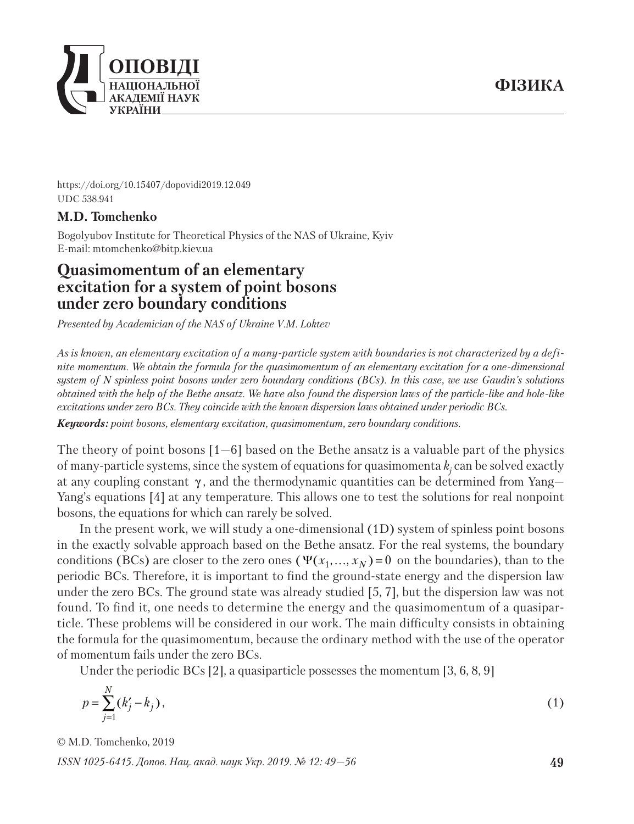

https://doi.org/10.15407/dopovidi2019.12.049 UDC 538.941

## **M.D. Tomchenko**

Bogolyubov Institute for Theoretical Physics of the NAS of Ukraine, Kyiv E-mail: mtomchenko@bitp.kiev.ua

# **Quasimomentum of an elementary excitation for a system of point bosons under zero boundary conditions**

*Presented by Academician of the NAS of Ukraine V.M. Loktev*

*As is known, an elementary excitation of a many-particle system with boundaries is not characterized by a definite momentum. We obtain the formula for the quasimomentum of an elementary excitation for a one-dimensional system of N spinless point bosons under zero boundary conditions (BCs). In this case, we use Gaudin's solutions obtained with the help of the Bethe ansatz. We have also found the dispersion laws of the particle-like and hole-like excita tions under zero BCs. They coincide with the known dispersion laws obtained under periodic BCs.*

*Keywords: point bosons, elementary excitation, quasimomentum, zero boundary conditions.*

The theory of point bosons  $[1-6]$  based on the Bethe ansatz is a valuable part of the physics of many-particle systems, since the system of equations for quasimomenta  $k_j$  can be solved exactly at any coupling constant  $\gamma$ , and the thermodynamic quantities can be determined from Yang-Yang's equations [4] at any temperature. This allows one to test the solutions for real nonpoint bosons, the equations for which can rarely be solved.

In the present work, we will study a one-dimensional (1D) system of spinless point bosons in the exactly solvable approach based on the Bethe ansatz. For the real systems, the boundary conditions (BCs) are closer to the zero ones ( $\Psi(x_1, ..., x_N) = 0$  on the boundaries), than to the periodic BCs. Therefore, it is important to find the ground-state energy and the dispersion law under the zero BCs. The ground state was already studied [5, 7], but the dispersion law was not found. To find it, one needs to determine the energy and the quasimomentum of a quasiparticle. These problems will be considered in our work. The main difficulty consists in obtaining the formula for the quasimomentum, because the ordinary method with the use of the operator of momentum fails under the zero BCs.

Under the periodic BCs [2], a quasiparticle possesses the momentum [3, 6, 8, 9]

$$
p = \sum_{j=1}^{N} (k'_j - k_j),
$$
 (1)

© М.D. Tomchenko, 2019

*ISSN 1025-6415. Допов. Нац. акад. наук Укр. 2019. № 12: 49—56*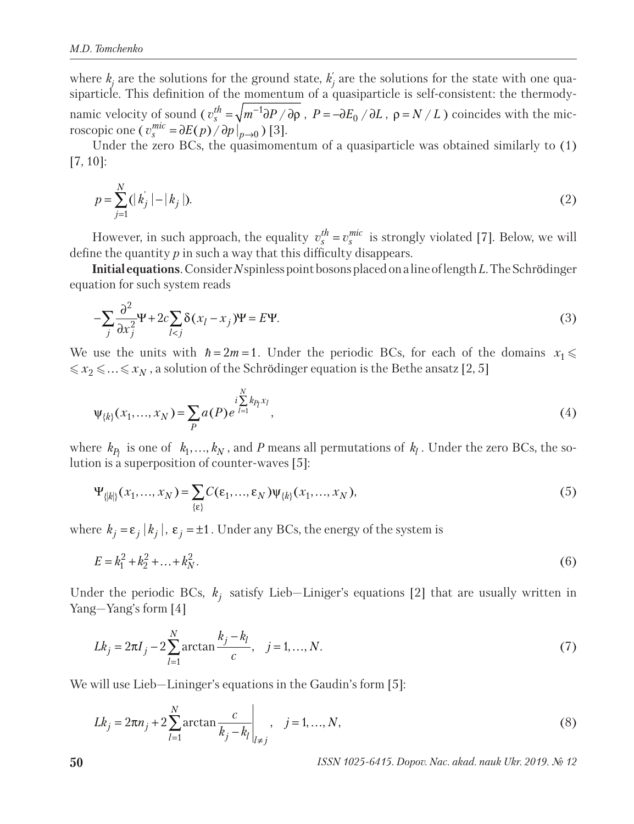where  $k_j$  are the solutions for the ground state,  $k_j$  are the solutions for the state with one quasiparticle. This definition of the momentum of a quasiparticle is self-consistent: the thermodynamic velocity of sound ( $v_s^{th} = \sqrt{m^{-1}\partial P}/\partial \rho$ ,  $P = -\partial E_0/\partial L$ ,  $\rho = N/L$ ) coincides with the microscopic one (  $v_s^{mic} = \partial E(p) / \partial p \big|_{p \to 0}$  ) [3].

Under the zero BCs, the quasimomentum of a quasiparticle was obtained similarly to (1) [7, 10]:

$$
p = \sum_{j=1}^{N} (|k_j| - |k_j|). \tag{2}
$$

However, in such approach, the equality  $v_s^{th} = v_s^{mic}$  is strongly violated [7]. Below, we will define the quantity *p* in such a way that this difficulty disappears.

**Initial equations**. Consider *N* spinless point bosons placed on a line of length *L*. The Schrödinger equation for such system reads

$$
-\sum_{j} \frac{\partial^2}{\partial x_j^2} \Psi + 2c \sum_{l < j} \delta(x_l - x_j) \Psi = E \Psi. \tag{3}
$$

We use the units with  $\hbar = 2m = 1$ . Under the periodic BCs, for each of the domains  $x_1 \leq$  $\leqslant x_2 \leqslant ... \leqslant x_N$  , a solution of the Schrödinger equation is the Bethe ansatz [2, 5]

$$
\Psi_{\{k\}}(x_1, ..., x_N) = \sum_{P} a(P) e^{\int_{l=1}^{N} k_{P_l} x_l}, \tag{4}
$$

where  $k_p$  is one of  $k_1, ..., k_N$ , and *P* means all permutations of  $k_l$ . Under the zero BCs, the solution is a superposition of counter-waves [5]:

$$
\Psi_{\{|k|\}}(x_1, ..., x_N) = \sum_{\{\varepsilon\}} C(\varepsilon_1, ..., \varepsilon_N) \Psi_{\{|k|\}}(x_1, ..., x_N),
$$
\n(5)

where  $k_j = \varepsilon_j |k_j|$ ,  $\varepsilon_j = \pm 1$ . Under any BCs, the energy of the system is

$$
E = k_1^2 + k_2^2 + \dots + k_N^2. \tag{6}
$$

Under the periodic BCs,  $k_i$  satisfy Lieb—Liniger's equations [2] that are usually written in Yang—Yang's form [4]

$$
Lk_j = 2\pi I_j - 2\sum_{l=1}^{N} \arctan \frac{k_j - k_l}{c}, \quad j = 1, ..., N.
$$
 (7)

We will use Lieb—Lininger's equations in the Gaudin's form [5]:

$$
Lk_j = 2\pi n_j + 2\sum_{l=1}^{N} \arctan\frac{c}{k_j - k_l}\bigg|_{l \neq j}, \quad j = 1, ..., N,
$$
\n(8)

**50** *ISSN 1025-6415. Dopov. Nac. akad. nauk Ukr. 2019. № 12*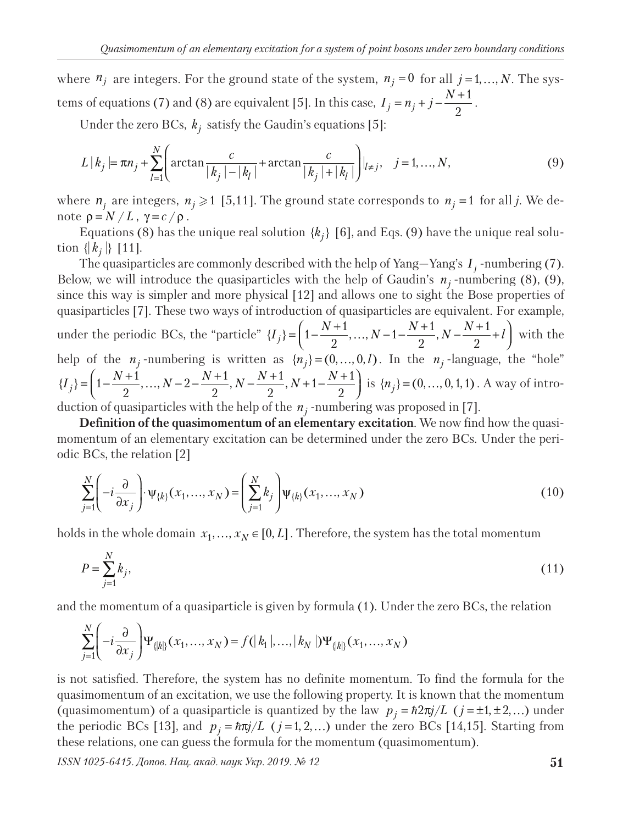where  $n_j$  are integers. For the ground state of the system,  $n_j = 0$  for all  $j = 1, ..., N$ . The systems of equations (7) and (8) are equivalent [5]. In this case,  $I_i = n_i + j - \frac{N+1}{2}$  $j - n_j + j - 2$  $I_i = n_i + j - \frac{N+1}{2}$ .

Under the zero BCs,  $k_j$  satisfy the Gaudin's equations [5]:

$$
L | k_j = \pi n_j + \sum_{l=1}^{N} \left( \arctan \frac{c}{|k_j| - |k_l|} + \arctan \frac{c}{|k_j| + |k_l|} \right) |_{l \neq j}, \quad j = 1, ..., N,
$$
 (9)

where  $n_i$  are integers,  $n_j \ge 1$  [5,11]. The ground state corresponds to  $n_j = 1$  for all *j*. We denote  $ρ = N / L$ ,  $γ = c / ρ$ .

Equations (8) has the unique real solution  $\{k_i\}$  [6], and Eqs. (9) have the unique real solution  $\{|k_j|\}$  [11].

The quasiparticles are commonly described with the help of Yang–Yang's  $I_j$ -numbering (7). Below, we will introduce the quasiparticles with the help of Gaudin's  $n_i$ -numbering (8), (9), since this way is simpler and more physical [12] and allows one to sight the Bose properties of quasiparticles [7]. These two ways of introduction of quasiparticles are equivalent. For example, under the periodic BCs, the "particle"  $\{I_j\} = \left(1 - \frac{N+1}{2}, \ldots, N-1 - \frac{N+1}{2}, N - \frac{N+1}{2} + l\right)$  with the help of the  $n_j$ -numbering is written as  $\{n_j\} = (0, ..., 0, l)$ . In the  $n_j$ -language, the "hole"  ${I_j} = \left(1 - \frac{N+1}{2}, ..., N-2 - \frac{N+1}{2}, N - \frac{N+1}{2}, N+1 - \frac{N+1}{2}\right)$  is  ${n_j} = (0, ..., 0, 1, 1)$ . A way of introduction of quasiparticles with the help of the  $n_j$ -numbering was proposed in [7].

**Definition of the quasimomentum of an elementary excitation**. We now find how the quasimomentum of an elementary excitation can be determined under the zero BCs. Under the periodic BCs, the relation [2]

$$
\sum_{j=1}^{N} \left( -i \frac{\partial}{\partial x_j} \right) \cdot \psi_{\{k\}}(x_1, \dots, x_N) = \left( \sum_{j=1}^{N} k_j \right) \psi_{\{k\}}(x_1, \dots, x_N)
$$
\n(10)

holds in the whole domain  $x_1, ..., x_N \in [0, L]$ . Therefore, the system has the total momentum

$$
P = \sum_{j=1}^{N} k_j,
$$
\n(11)

and the momentum of a quasiparticle is given by formula (1). Under the zero BCs, the relation

$$
\sum_{j=1}^{N} \left( -i \frac{\partial}{\partial x_j} \right) \Psi_{\{|k|\}}(x_1, ..., x_N) = f(|k_1|, ..., |k_N|) \Psi_{\{|k|\}}(x_1, ..., x_N)
$$

is not satisfied. Therefore, the system has no definite momentum. To find the formula for the quasimomentum of an excitation, we use the following property. It is known that the momentum (quasimomentum) of a quasiparticle is quantized by the law  $p_j = \hbar 2\pi j/L$  ( $j = \pm 1, \pm 2, ...$ ) under the periodic BCs [13], and  $p_i = \hbar \pi j/L$  ( $j = 1, 2,...$ ) under the zero BCs [14,15]. Starting from these relations, one can guess the formula for the momentum (quasimomentum).

*ISSN 1025-6415. Допов. Нац. акад. наук Укр. 2019. № 12* **51**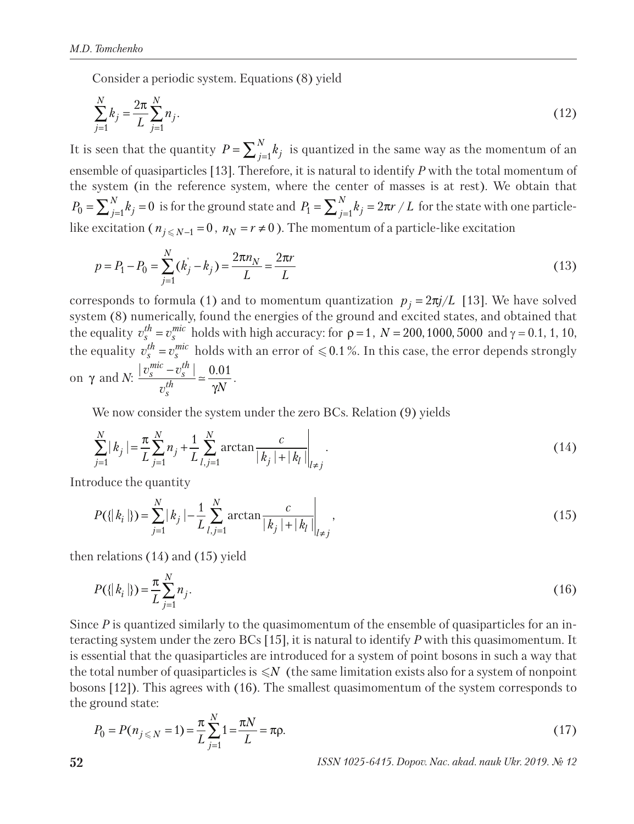Consider a periodic system. Equations (8) yield

$$
\sum_{j=1}^{N} k_j = \frac{2\pi}{L} \sum_{j=1}^{N} n_j.
$$
\n(12)

It is seen that the quantity  $P = \sum_{j=1}^{N} k_j$  is quantized in the same way as the momentum of an ensemble of quasiparticles [13]. Therefore, it is natural to identify *P* with the total momentum of the system (in the reference system, where the center of masses is at rest). We obtain that  $P_0 = \sum_{j=1}^N k_j = 0$  is for the ground state and  $P_1 = \sum_{j=1}^N k_j = 2\pi r\,/\,L$  for the state with one particlelike excitation (  $n_{j\leqslant N-1}\!=\!0$  ,  $\,_{N}\!=\!r\!\neq\!0$  ). The momentum of a particle-like excitation

$$
p = P_1 - P_0 = \sum_{j=1}^{N} (k_j - k_j) = \frac{2\pi n_N}{L} = \frac{2\pi r}{L}
$$
\n(13)

corresponds to formula (1) and to momentum quantization  $p_i = 2\pi j/L$  [13]. We have solved system (8) numerically, found the energies of the ground and excited states, and obtained that the equality  $v_s^{th} = v_s^{mic}$  holds with high accuracy: for  $\rho = 1$ ,  $N = 200, 1000, 5000$  and  $\gamma = 0.1, 1, 10$ , the equality  $v_s^{th} = v_s^{mic}$  holds with an error of  $\leq 0.1$  %. In this case, the error depends strongly on  $\gamma$  and *N*:  $\frac{|v_s^{mic} - v_s^{th}|}{h} \approx \frac{0.01}{N}$ *th s*  $v_s^{mu}$  –  $v$  $v_s^{th}$  *yN*  $\frac{-v_s^{in}}{h}$  =  $\frac{0.01}{\gamma N}$ .

We now consider the system under the zero BCs. Relation (9) yields

$$
\sum_{j=1}^{N} |k_j| = \frac{\pi}{L} \sum_{j=1}^{N} n_j + \frac{1}{L} \sum_{l,j=1}^{N} \arctan \frac{c}{|k_j| + |k_l|} \Big|_{l \neq j}.
$$
\n(14)

Introduce the quantity

$$
P(\{|k_i\}\}) = \sum_{j=1}^{N} |k_j| - \frac{1}{L} \sum_{l,j=1}^{N} \arctan \frac{c}{|k_j| + |k_l|} \bigg|_{l \neq j},\tag{15}
$$

then relations (14) and (15) yield

$$
P(\{|k_i\} ) = \frac{\pi}{L} \sum_{j=1}^{N} n_j.
$$
 (16)

Since *P* is quantized similarly to the quasimomentum of the ensemble of quasiparticles for an interacting system under the zero BCs [15], it is natural to identify *P* with this quasimomentum. It is essential that the quasiparticles are introduced for a system of point bosons in such a way that the total number of quasiparticles is  $\leqslant$ N (the same limitation exists also for a system of nonpoint bosons [12]). This agrees with (16). The smallest quasimomentum of the system corresponds to the ground state:

$$
P_0 = P(n_{j \le N} = 1) = \frac{\pi}{L} \sum_{j=1}^{N} 1 = \frac{\pi N}{L} = \pi \rho.
$$
\n(17)

**52** *ISSN 1025-6415. Dopov. Nac. akad. nauk Ukr. 2019. № 12*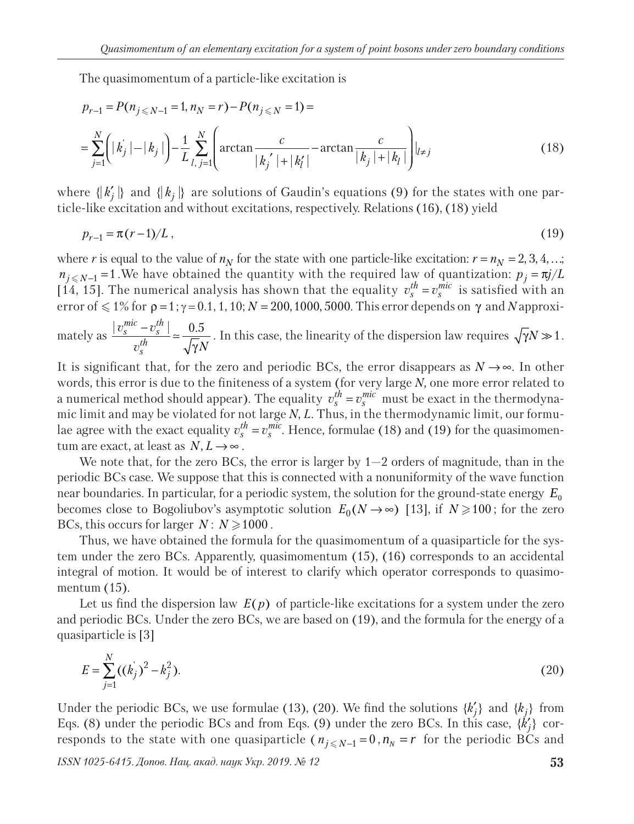The quasimomentum of a particle-like excitation is

$$
p_{r-1} = P(n_{j \le N-1} = 1, n_N = r) - P(n_{j \le N} = 1) =
$$
  
= 
$$
\sum_{j=1}^{N} \left( |k_j| - |k_j| \right) - \frac{1}{L} \sum_{l, j=1}^{N} \left( \arctan \frac{c}{|k_j'| + |k_l'|} - \arctan \frac{c}{|k_j| + |k_l|} \right) |_{l \ne j}
$$
 (18)

where  $\{ |k'_j| \}$  and  $\{ |k_j| \}$  are solutions of Gaudin's equations (9) for the states with one particle-like excitation and without excitations, respectively. Relations (16), (18) yield

$$
p_{r-1} = \pi (r-1)/L \tag{19}
$$

where *r* is equal to the value of  $n<sub>N</sub>$  for the state with one particle-like excitation:  $r = n<sub>N</sub> = 2, 3, 4, ...$ ;  $n_{j \leq N-1} = 1$ . We have obtained the quantity with the required law of quantization:  $p_j = \pi j/L$ [14, 15]. The numerical analysis has shown that the equality  $v_s^{th} = v_s^{mic}$  is satisfied with an error of  $\leq 1\%$  for  $\rho =1$ ;  $\gamma =0.1, 1, 10; N=200, 1000, 5000$ . This error depends on γ and *N* approxi $v_s^{mu}$  –  $v$ 

mately as  $\frac{|v_s^{mic} - v_s^{th}|}{h} \approx \frac{0.5}{\sqrt{2}}$ *th s*  $v_s^{tn}$   $\sqrt{\gamma N}$  $-\frac{v_s^{\mu}}{\sqrt{\gamma}N}$  =  $\frac{0.5}{\sqrt{\gamma}N}$ . In this case, the linearity of the dispersion law requires  $\sqrt{\gamma}N \gg 1$ .

It is significant that, for the zero and periodic BCs, the error disappears as  $N \rightarrow \infty$ . In other words, this error is due to the finiteness of a system (for very large *N,* one more error related to a numerical method should appear). The equality  $v_s^{th} = v_s^{mic}$  must be exact in the thermodynamic limit and may be violated for not large *N*, *L*. Thus, in the thermodynamic limit, our formulae agree with the exact equality  $v_s^{th} = v_s^{mic}$ . Hence, formulae (18) and (19) for the quasimomentum are exact, at least as  $N, L \rightarrow \infty$ .

We note that, for the zero BCs, the error is larger by  $1-2$  orders of magnitude, than in the periodic BCs case. We suppose that this is connected with a nonuniformity of the wave function near boundaries. In particular, for a periodic system, the solution for the ground-state energy  $E_0$ becomes close to Bogoliubov's asymptotic solution  $E_0(N \to \infty)$  [13], if  $N \ge 100$ ; for the zero BCs, this occurs for larger  $N: N \ge 1000$ .

Thus, we have obtained the formula for the quasimomentum of a quasiparticle for the system under the zero BCs. Apparently, quasimomentum (15), (16) corresponds to an accidental integral of motion. It would be of interest to clarify which operator corresponds to quasimomentum (15).

Let us find the dispersion law  $E(p)$  of particle-like excitations for a system under the zero and periodic BCs. Under the zero BCs, we are based on (19), and the formula for the energy of a quasiparticle is [3]

$$
E = \sum_{j=1}^{N} ((k_j)^2 - k_j^2).
$$
 (20)

Under the periodic BCs, we use formulae (13), (20). We find the solutions  $\{k'_j\}$  and  $\{k_j\}$  from Eqs. (8) under the periodic BCs and from Eqs. (9) under the zero BCs. In this case,  $\{\dot{k}'_j\}$  corresponds to the state with one quasiparticle ( $n_{j \leq N-1} = 0$ ,  $n_N = r$  for the periodic BCs and

*ISSN 1025-6415. Допов. Нац. акад. наук Укр. 2019. № 12* **53**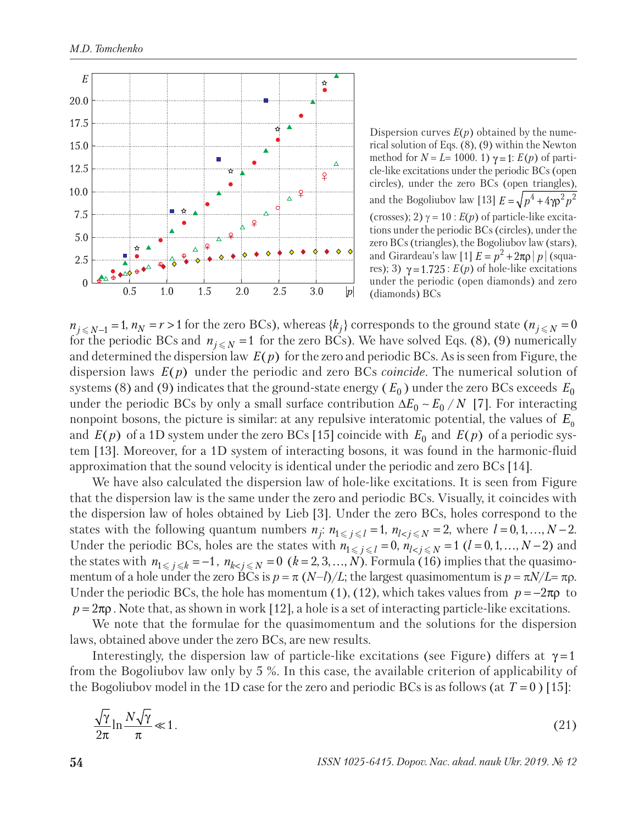

Dispersion curves  $E(p)$  obtained by the numerical solution of Eqs. (8), (9) within the Newton method for  $N = L = 1000$ . 1)  $\gamma = 1$ :  $E(p)$  of particle-like excitations under the periodic BCs (open circles), under the zero BCs (open triangles), and the Bogoliubov law [13]  $E = \sqrt{p^4 + 4\gamma \rho^2 p^2}$ (crosses); 2)  $\gamma = 10$ :  $E(p)$  of particle-like excitations under the periodic BCs (circles), under the zero BCs (triangles), the Bogoliubov law (stars), and Girardeau's law  $[1]$   $E = p^2 + 2\pi\rho |p|$  (squares); 3)  $\gamma = 1.725$ :  $E(p)$  of hole-like excitations under the periodic (open diamonds) and zero (diamonds) BCs

 $n_{j \leq N-1} = 1$ ,  $n_N = r > 1$  for the zero BCs), whereas  $\{k_j\}$  corresponds to the ground state ( $n_{j \leq N} = 0$ for the periodic BCs and  $n_{j \le N}$  = 1 for the zero BCs). We have solved Eqs. (8), (9) numerically and determined the dispersion law  $E(p)$  for the zero and periodic BCs. As is seen from Figure, the dispersion laws  $E(p)$  under the periodic and zero BCs *coincide*. The numerical solution of systems (8) and (9) indicates that the ground-state energy ( $E_0$ ) under the zero BCs exceeds  $E_0$ under the periodic BCs by only a small surface contribution  $\Delta E_0 \sim E_0 / N$  [7]. For interacting nonpoint bosons, the picture is similar: at any repulsive interatomic potential, the values of  $E_0$ and  $E(p)$  of a 1D system under the zero BCs [15] coincide with  $E_0$  and  $E(p)$  of a periodic system [13]. Moreover, for a 1D system of interacting bosons, it was found in the harmonic-fluid approximation that the sound velocity is identical under the periodic and zero BCs [14].

We have also calculated the dispersion law of hole-like excitations. It is seen from Figure that the dispersion law is the same under the zero and periodic BCs. Visually, it coincides with the dispersion law of holes obtained by Lieb [3]. Under the zero BCs, holes correspond to the states with the following quantum numbers  $n_j$ :  $n_{1 \le j \le l} = 1$ ,  $n_{l < j \le N} = 2$ , where  $l = 0, 1, ..., N - 2$ . Under the periodic BCs, holes are the states with  $n_{1 \le j \le l} = 0$ ,  $n_{l \le j \le N} = 1$  ( $l = 0, 1, ..., N - 2$ ) and the states with  $n_{1 \le j \le k} = -1$ ,  $n_{k < j \le N} = 0$   $(k = 2, 3, ..., N)$ . Formula (16) implies that the quasimomentum of a hole under the zero BCs is  $p = \pi (N-l)/L$ ; the largest quasimomentum is  $p = \pi N/L = \pi \rho$ . Under the periodic BCs, the hole has momentum (1), (12), which takes values from  $p = -2\pi \rho$  to  $p = 2\pi\rho$ . Note that, as shown in work [12], a hole is a set of interacting particle-like excitations.

We note that the formulae for the quasimomentum and the solutions for the dispersion laws, obtained above under the zero BCs, are new results.

Interestingly, the dispersion law of particle-like excitations (see Figure) differs at  $\gamma = 1$ from the Bogoliubov law only by 5 %. In this case, the available criterion of applicability of the Bogoliubov model in the 1D case for the zero and periodic BCs is as follows (at  $T = 0$  ) [15]:

$$
\frac{\sqrt{\gamma}}{2\pi} \ln \frac{N\sqrt{\gamma}}{\pi} \ll 1. \tag{21}
$$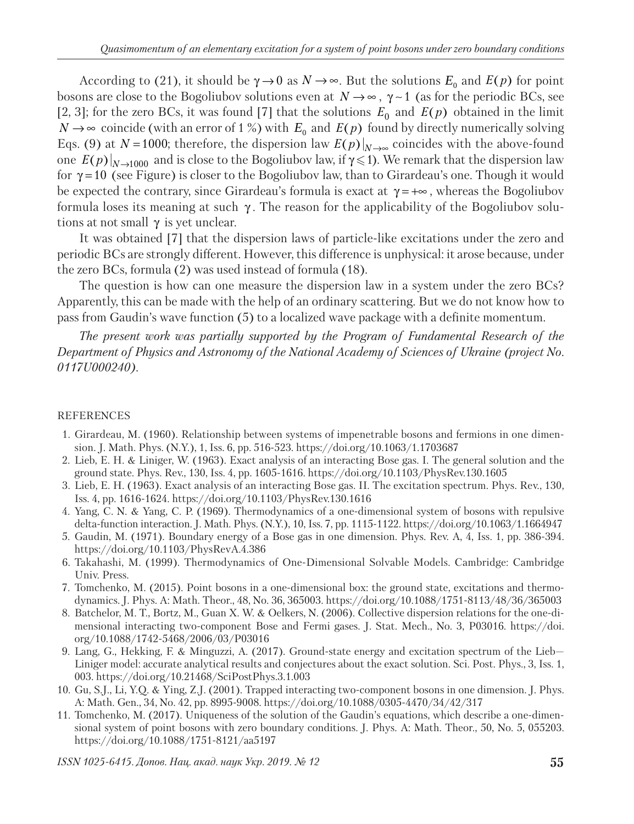According to (21), it should be  $\gamma \rightarrow 0$  as  $N \rightarrow \infty$ . But the solutions  $E_0$  and  $E(p)$  for point bosons are close to the Bogoliubov solutions even at  $N \rightarrow \infty$ ,  $\gamma \sim 1$  (as for the periodic BCs, see [2, 3]; for the zero BCs, it was found [7] that the solutions  $E_0$  and  $E(p)$  obtained in the limit *N* → ∞ coincide (with an error of 1 %) with  $E_0$  and  $E(p)$  found by directly numerically solving Eqs. (9) at *N* =1000; therefore, the dispersion law  $E(p)|_{N\to\infty}$  coincides with the above-found one  $E(p)|_{N\to 1000}$  and is close to the Bogoliubov law, if  $\gamma \leq 1$ ). We remark that the dispersion law for  $\gamma = 10$  (see Figure) is closer to the Bogoliubov law, than to Girardeau's one. Though it would be expected the contrary, since Girardeau's formula is exact at  $\gamma = +\infty$ , whereas the Bogoliubov formula loses its meaning at such γ . The reason for the applicability of the Bogoliubov solutions at not small  $\gamma$  is yet unclear.

It was obtained [7] that the dispersion laws of particle-like excitations under the zero and periodic BCs are strongly different. However, this difference is unphysical: it arose because, under the zero BCs, formula (2) was used instead of formula (18).

The question is how can one measure the dispersion law in a system under the zero BCs? Apparently, this can be made with the help of an ordinary scattering. But we do not know how to pass from Gaudin's wave function (5) to a localized wave package with a definite momentum.

*The present work was partially supported by the Program of Fundamental Research of the Department of Physics and Astronomy of the National Academy of Sciences of Ukraine (project No. 0117U000240).*

### REFERENCES

- 1. Girardeau, M. (1960). Relationship between systems of impenetrable bosons and fermions in one dimension. J. Math. Phys. (N.Y.), 1, Iss. 6, pp. 516-523. https://doi.org/10.1063/1.1703687
- 2. Lieb, E. H. & Liniger, W. (1963). Exact analysis of an interacting Bose gas. I. The general solution and the ground state. Phys. Rev., 130, Iss. 4, pp. 1605-1616. https://doi.org/10.1103/PhysRev.130.1605
- 3. Lieb, E. H. (1963). Exact analysis of an interacting Bose gas. II. The excitation spectrum. Phys. Rev., 130, Iss. 4, pp. 1616-1624. https://doi.org/10.1103/PhysRev.130.1616
- 4. Yang, C. N. & Yang, C. P. (1969). Thermodynamics of a one-dimensional system of bosons with repulsive delta-function interaction. J. Math. Phys. (N.Y.), 10, Iss. 7, pp. 1115-1122. https://doi.org/10.1063/1.1664947
- 5. Gaudin, M. (1971). Boundary energy of a Bose gas in one dimension. Phys. Rev. A, 4, Iss. 1, pp. 386-394. https://doi.org/10.1103/PhysRevA.4.386
- 6. Takahashi, M. (1999). Thermodynamics of One-Dimensional Solvable Models. Cambridge: Cambridge Univ. Press.
- 7. Tomchenko, M. (2015). Point bosons in a one-dimensional box: the ground state, excitations and thermodynamics. J. Phys. A: Math. Theor., 48, No. 36, 365003. https://doi.org/10.1088/1751-8113/48/36/365003
- 8. Batchelor, M. T., Bortz, M., Guan X. W. & Oelkers, N. (2006). Collective dispersion relations for the one-dimensional interacting two-component Bose and Fermi gases. J. Stat. Mech., No. 3, P03016. https://doi. org/10.1088/1742-5468/2006/03/P03016
- 9. Lang, G., Hekking, F. & Minguzzi, A. (2017). Ground-state energy and excitation spectrum of the Lieb— Liniger model: accurate analytical results and conjectures about the exact solution. Sci. Post. Phys., 3, Iss. 1, 003. https://doi.org/10.21468/SciPostPhys.3.1.003
- 10. Gu, S.J., Li, Y.Q. & Ying, Z.J. (2001). Trapped interacting two-component bosons in one dimension. J. Phys. A: Math. Gen., 34, No. 42, pp. 8995-9008. https://doi.org/10.1088/0305-4470/34/42/317
- 11. Tomchenko, M. (2017). Uniqueness of the solution of the Gaudin's equations, which describe a one-dimensional system of point bosons with zero boundary conditions. J. Phys. A: Math. Theor., 50, No. 5, 055203. https://doi.org/10.1088/1751-8121/aa5197

*ISSN 1025-6415. Допов. Нац. акад. наук Укр. 2019. № 12* **55**